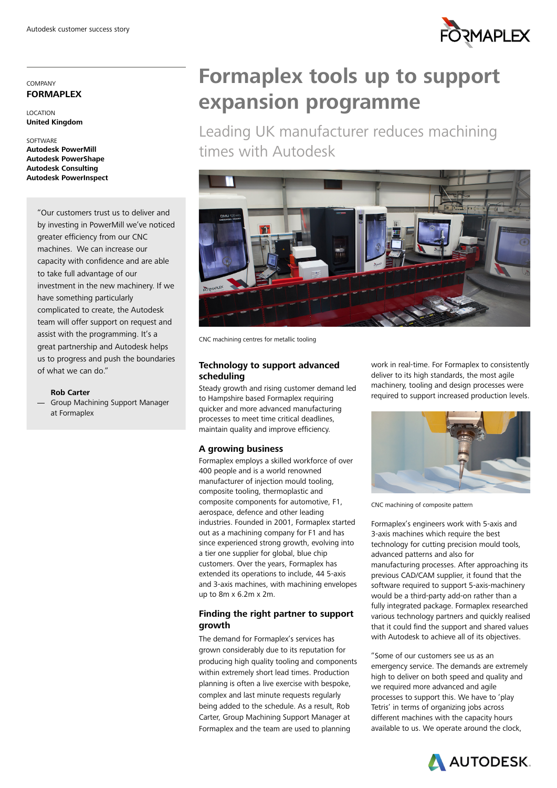

#### COMPANY **FORMAPLEX**

LOCATION **United Kingdom** 

**SOFTWARE Autodesk PowerMill Autodesk PowerShape Autodesk Consulting Autodesk PowerInspect** 

> "Our customers trust us to deliver and by investing in PowerMill we've noticed greater efficiency from our CNC machines. We can increase our capacity with confidence and are able to take full advantage of our investment in the new machinery. If we have something particularly complicated to create, the Autodesk team will offer support on request and assist with the programming. It's a great partnership and Autodesk helps us to progress and push the boundaries of what we can do."

**Rob Carter**

- Group Machining Support Manager at Formaplex

# **Formaplex tools up to support expansion programme**

Leading UK manufacturer reduces machining times with Autodesk



CNC machining centres for metallic tooling

# **Technology to support advanced scheduling**

Steady growth and rising customer demand led to Hampshire based Formaplex requiring quicker and more advanced manufacturing processes to meet time critical deadlines, maintain quality and improve efficiency.

### **A growing business**

Formaplex employs a skilled workforce of over 400 people and is a world renowned manufacturer of injection mould tooling, composite tooling, thermoplastic and composite components for automotive, F1, aerospace, defence and other leading industries. Founded in 2001, Formaplex started out as a machining company for F1 and has since experienced strong growth, evolving into a tier one supplier for global, blue chip customers. Over the years, Formaplex has extended its operations to include, 44 5-axis and 3-axis machines, with machining envelopes up to 8m x 6.2m x 2m.

# **Finding the right partner to support growth**

The demand for Formaplex's services has grown considerably due to its reputation for producing high quality tooling and components within extremely short lead times. Production planning is often a live exercise with bespoke, complex and last minute requests regularly being added to the schedule. As a result, Rob Carter, Group Machining Support Manager at Formaplex and the team are used to planning

work in real-time. For Formaplex to consistently deliver to its high standards, the most agile machinery, tooling and design processes were required to support increased production levels.



CNC machining of composite pattern

Formaplex's engineers work with 5-axis and 3-axis machines which require the best technology for cutting precision mould tools, advanced patterns and also for manufacturing processes. After approaching its previous CAD/CAM supplier, it found that the software required to support 5-axis-machinery would be a third-party add-on rather than a fully integrated package. Formaplex researched various technology partners and quickly realised that it could find the support and shared values with Autodesk to achieve all of its objectives.

"Some of our customers see us as an emergency service. The demands are extremely high to deliver on both speed and quality and we required more advanced and agile processes to support this. We have to 'play Tetris' in terms of organizing jobs across different machines with the capacity hours available to us. We operate around the clock,